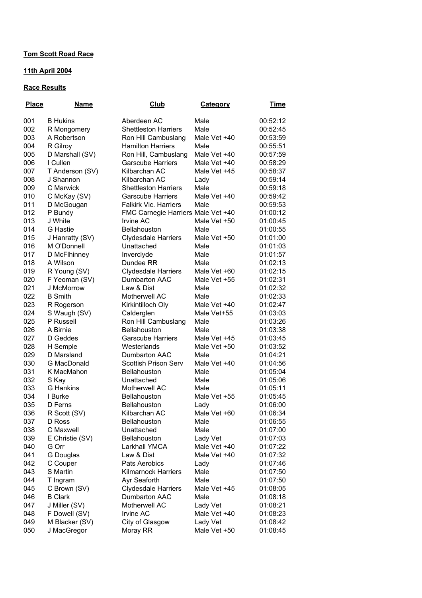## **Tom Scott Road Race**

## **11th April 2004**

## **Race Results**

| <b>Place</b> | <u>Name</u>      | Club                               | <b>Category</b> | <u>Time</u> |
|--------------|------------------|------------------------------------|-----------------|-------------|
| 001          | <b>B</b> Hukins  | Aberdeen AC                        | Male            | 00:52:12    |
| 002          | R Mongomery      | <b>Shettleston Harriers</b>        | Male            | 00:52:45    |
| 003          | A Robertson      | Ron Hill Cambuslang                | Male Vet +40    | 00:53:59    |
| 004          | R Gilroy         | <b>Hamilton Harriers</b>           | Male            | 00:55:51    |
| 005          | D Marshall (SV)  | Ron Hill, Cambuslang               | Male Vet +40    | 00:57:59    |
| 006          | I Cullen         | <b>Garscube Harriers</b>           | Male Vet +40    | 00:58:29    |
| 007          | T Anderson (SV)  | Kilbarchan AC                      | Male Vet +45    | 00:58:37    |
| 008          | J Shannon        | Kilbarchan AC                      | Lady            | 00:59:14    |
| 009          | C Marwick        | <b>Shettleston Harriers</b>        | Male            | 00:59:18    |
| 010          | C McKay (SV)     | <b>Garscube Harriers</b>           | Male Vet +40    | 00:59:42    |
| 011          | D McGougan       | <b>Falkirk Vic. Harriers</b>       | Male            | 00:59:53    |
| 012          | P Bundy          | FMC Carnegie Harriers Male Vet +40 |                 | 01:00:12    |
| 013          | J White          | Irvine AC                          | Male Vet +50    | 01:00:45    |
| 014          | G Hastie         | <b>Bellahouston</b>                | Male            | 01:00:55    |
| 015          | J Hanratty (SV)  | <b>Clydesdale Harriers</b>         | Male Vet +50    | 01:01:00    |
| 016          | M O'Donnell      | Unattached                         | Male            | 01:01:03    |
| 017          | D McFlhinney     | Inverclyde                         | Male            | 01:01:57    |
| 018          | A Wilson         | Dundee RR                          | Male            | 01:02:13    |
| 019          | R Young (SV)     | <b>Clydesdale Harriers</b>         | Male Vet +60    | 01:02:15    |
| 020          | F Yeoman (SV)    | Dumbarton AAC                      | Male Vet +55    | 01:02:31    |
| 021          | J McMorrow       | Law & Dist                         | Male            | 01:02:32    |
| 022          | <b>B</b> Smith   | Motherwell AC                      | Male            | 01:02:33    |
| 023          | R Rogerson       | Kirkintilloch Oly                  | Male Vet +40    | 01:02:47    |
| 024          | S Waugh (SV)     | Calderglen                         | Male Vet+55     | 01:03:03    |
| 025          | P Russell        | Ron Hill Cambuslang                | Male            | 01:03:26    |
| 026          | A Birnie         | <b>Bellahouston</b>                | Male            | 01:03:38    |
| 027          | D Geddes         | <b>Garscube Harriers</b>           | Male Vet +45    | 01:03:45    |
| 028          | H Semple         | Westerlands                        | Male Vet +50    | 01:03:52    |
| 029          | D Marsland       | Dumbarton AAC                      | Male            | 01:04:21    |
| 030          | G MacDonald      | Scottish Prison Serv               | Male Vet +40    | 01:04:56    |
| 031          | K MacMahon       | <b>Bellahouston</b>                | Male            | 01:05:04    |
| 032          | S Kay            | Unattached                         | Male            | 01:05:06    |
| 033          | <b>G</b> Hankins | Motherwell AC                      | Male            | 01:05:11    |
| 034          | I Burke          | Bellahouston                       | Male Vet +55    | 01:05:45    |
| 035          | D Ferns          | <b>Bellahouston</b>                | Lady            | 01:06:00    |
| 036          | R Scott (SV)     | Kilbarchan AC                      | Male Vet +60    | 01:06:34    |
| 037          | D Ross           | <b>Bellahouston</b>                | Male            | 01:06:55    |
| 038          | C Maxwell        | Unattached                         | Male            | 01:07:00    |
| 039          | E Christie (SV)  | Bellahouston                       | Lady Vet        | 01:07:03    |
| 040          | G Orr            | Larkhall YMCA                      | Male Vet +40    | 01:07:22    |
| 041          | G Douglas        | Law & Dist                         | Male Vet +40    | 01:07:32    |
| 042          | C Couper         | Pats Aerobics                      | Lady            | 01:07:46    |
| 043          | S Martin         | <b>Kilmarnock Harriers</b>         | Male            | 01:07:50    |
| 044          | T Ingram         | Ayr Seaforth                       | Male            | 01:07:50    |
| 045          | C Brown (SV)     | <b>Clydesdale Harriers</b>         | Male Vet +45    | 01:08:05    |
| 046          | <b>B</b> Clark   | Dumbarton AAC                      | Male            | 01:08:18    |
| 047          | J Miller (SV)    | Motherwell AC                      | Lady Vet        | 01:08:21    |
| 048          | F Dowell (SV)    | Irvine AC                          | Male Vet +40    | 01:08:23    |
| 049          | M Blacker (SV)   | City of Glasgow                    | Lady Vet        | 01:08:42    |
| 050          | J MacGregor      | Moray RR                           | Male Vet +50    | 01:08:45    |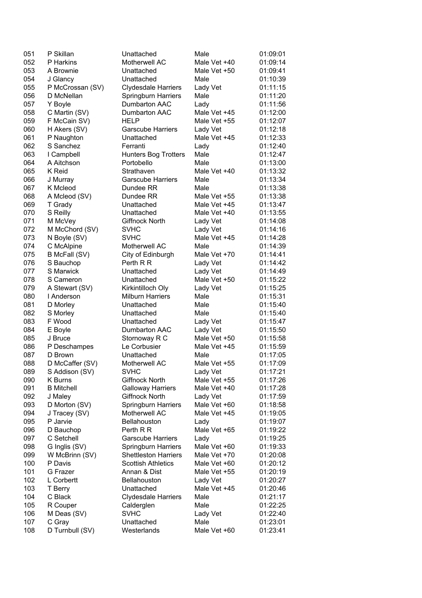| 051 | P Skillan         | Unattached                  | Male         | 01:09:01 |
|-----|-------------------|-----------------------------|--------------|----------|
| 052 | P Harkins         | Motherwell AC               | Male Vet +40 | 01:09:14 |
| 053 | A Brownie         | Unattached                  | Male Vet +50 | 01:09:41 |
| 054 | J Glancy          | Unattached                  | Male         | 01:10:39 |
| 055 | P McCrossan (SV)  | <b>Clydesdale Harriers</b>  | Lady Vet     | 01:11:15 |
| 056 | D McNellan        | Springburn Harriers         | Male         | 01:11:20 |
| 057 | Y Boyle           | Dumbarton AAC               | Lady         | 01:11:56 |
| 058 | C Martin (SV)     | Dumbarton AAC               | Male Vet +45 | 01:12:00 |
| 059 | F McCain SV)      | <b>HELP</b>                 | Male Vet +55 | 01:12:07 |
| 060 | H Akers (SV)      | <b>Garscube Harriers</b>    | Lady Vet     | 01:12:18 |
| 061 | P Naughton        | Unattached                  | Male Vet +45 | 01:12:33 |
| 062 | S Sanchez         | Ferranti                    | Lady         | 01:12:40 |
| 063 | I Campbell        | <b>Hunters Bog Trotters</b> | Male         | 01:12:47 |
| 064 | A Aitchson        | Portobello                  | Male         | 01:13:00 |
| 065 | <b>K</b> Reid     | Strathaven                  | Male Vet +40 | 01:13:32 |
| 066 | J Murray          | <b>Garscube Harriers</b>    | Male         | 01:13:34 |
| 067 | K Mcleod          | Dundee RR                   | Male         | 01:13:38 |
| 068 | A Mcleod (SV)     | Dundee RR                   | Male Vet +55 | 01:13:38 |
| 069 | T Grady           | Unattached                  | Male Vet +45 | 01:13:47 |
| 070 |                   | Unattached                  | Male Vet +40 | 01:13:55 |
|     | S Reilly          | Giffnock North              |              |          |
| 071 | M McVey           |                             | Lady Vet     | 01:14:08 |
| 072 | M McChord (SV)    | <b>SVHC</b>                 | Lady Vet     | 01:14:16 |
| 073 | N Boyle (SV)      | <b>SVHC</b>                 | Male Vet +45 | 01:14:28 |
| 074 | C McAlpine        | Motherwell AC               | Male         | 01:14:39 |
| 075 | B McFall (SV)     | City of Edinburgh           | Male Vet +70 | 01:14:41 |
| 076 | S Bauchop         | Perth R R                   | Lady Vet     | 01:14:42 |
| 077 | S Marwick         | Unattached                  | Lady Vet     | 01:14:49 |
| 078 | S Cameron         | Unattached                  | Male Vet +50 | 01:15:22 |
| 079 | A Stewart (SV)    | Kirkintilloch Oly           | Lady Vet     | 01:15:25 |
| 080 | I Anderson        | <b>Milburn Harriers</b>     | Male         | 01:15:31 |
| 081 | D Morley          | Unattached                  | Male         | 01:15:40 |
| 082 | S Morley          | Unattached                  | Male         | 01:15:40 |
| 083 | F Wood            | Unattached                  | Lady Vet     | 01:15:47 |
| 084 | E Boyle           | Dumbarton AAC               | Lady Vet     | 01:15:50 |
| 085 | J Bruce           | Stornoway R C               | Male Vet +50 | 01:15:58 |
| 086 | P Deschampes      | Le Corbusier                | Male Vet +45 | 01:15:59 |
| 087 | D Brown           | Unattached                  | Male         | 01:17:05 |
| 088 | D McCaffer (SV)   | Motherwell AC               | Male Vet +55 | 01:17:09 |
| 089 | S Addison (SV)    | SVHC                        | Lady Vet     | 01:17:21 |
| 090 | K Burns           | Giffnock North              | Male Vet +55 | 01:17:26 |
| 091 | <b>B</b> Mitchell | <b>Galloway Harriers</b>    | Male Vet +40 | 01:17:28 |
| 092 | J Maley           | Giffnock North              | Lady Vet     | 01:17:59 |
| 093 | D Morton (SV)     | Springburn Harriers         | Male Vet +60 | 01:18:58 |
| 094 | J Tracey (SV)     | Motherwell AC               | Male Vet +45 | 01:19:05 |
| 095 | P Jarvie          | Bellahouston                | Lady         | 01:19:07 |
| 096 | D Bauchop         | Perth R R                   | Male Vet +65 | 01:19:22 |
| 097 | C Setchell        | <b>Garscube Harriers</b>    | Lady         | 01:19:25 |
| 098 | G Inglis (SV)     | Springburn Harriers         | Male Vet +60 | 01:19:33 |
| 099 | W McBrinn (SV)    | <b>Shettleston Harriers</b> | Male Vet +70 | 01:20:08 |
| 100 | P Davis           | <b>Scottish Athletics</b>   | Male Vet +60 | 01:20:12 |
| 101 | G Frazer          | Annan & Dist                | Male Vet +55 | 01:20:19 |
| 102 | L Corbertt        | Bellahouston                | Lady Vet     | 01:20:27 |
| 103 | T Berry           | Unattached                  | Male Vet +45 | 01:20:46 |
| 104 | C Black           | <b>Clydesdale Harriers</b>  | Male         | 01:21:17 |
| 105 | R Couper          | Calderglen                  | Male         | 01:22:25 |
| 106 | M Deas (SV)       | <b>SVHC</b>                 | Lady Vet     | 01:22:40 |
| 107 | C Gray            | Unattached                  | Male         | 01:23:01 |
| 108 | D Turnbull (SV)   | Westerlands                 | Male Vet +60 | 01:23:41 |
|     |                   |                             |              |          |